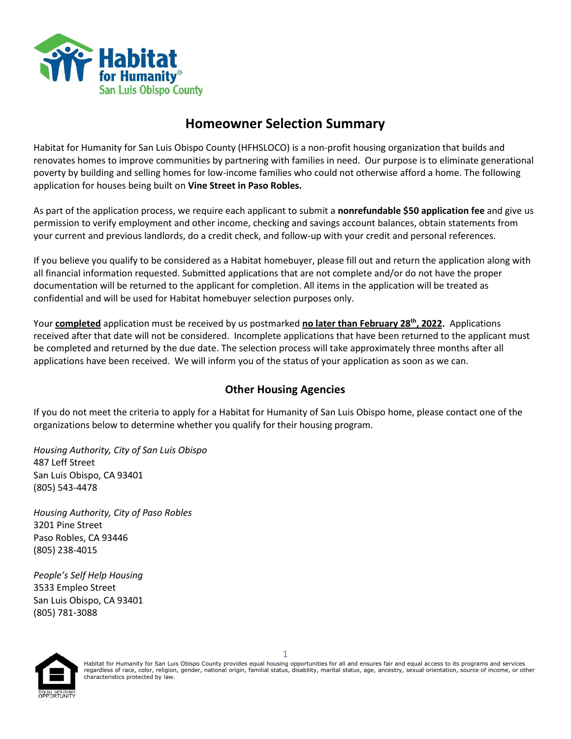

### **Homeowner Selection Summary**

Habitat for Humanity for San Luis Obispo County (HFHSLOCO) is a non-profit housing organization that builds and renovates homes to improve communities by partnering with families in need. Our purpose is to eliminate generational poverty by building and selling homes for low-income families who could not otherwise afford a home. The following application for houses being built on **Vine Street in Paso Robles.**

As part of the application process, we require each applicant to submit a **nonrefundable \$50 application fee** and give us permission to verify employment and other income, checking and savings account balances, obtain statements from your current and previous landlords, do a credit check, and follow-up with your credit and personal references.

If you believe you qualify to be considered as a Habitat homebuyer, please fill out and return the application along with all financial information requested. Submitted applications that are not complete and/or do not have the proper documentation will be returned to the applicant for completion. All items in the application will be treated as confidential and will be used for Habitat homebuyer selection purposes only.

Your **completed** application must be received by us postmarked **no later than February 28th, 2022.** Applications received after that date will not be considered. Incomplete applications that have been returned to the applicant must be completed and returned by the due date. The selection process will take approximately three months after all applications have been received. We will inform you of the status of your application as soon as we can.

### **Other Housing Agencies**

If you do not meet the criteria to apply for a Habitat for Humanity of San Luis Obispo home, please contact one of the organizations below to determine whether you qualify for their housing program.

*Housing Authority, City of San Luis Obispo* 487 Leff Street San Luis Obispo, CA 93401 (805) 543-4478

*Housing Authority, City of Paso Robles* 3201 Pine Street Paso Robles, CA 93446 (805) 238-4015

*People's Self Help Housing* 3533 Empleo Street San Luis Obispo, CA 93401 (805) 781-3088

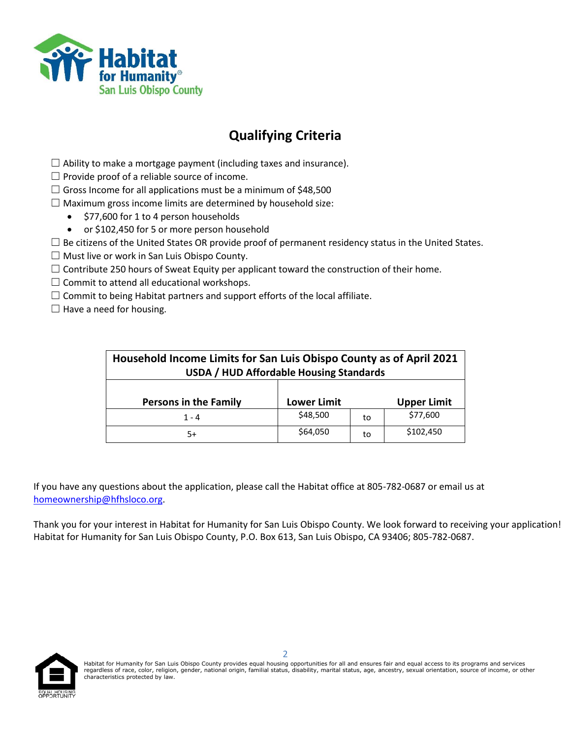

# **Qualifying Criteria**

- $\Box$  Ability to make a mortgage payment (including taxes and insurance).
- $\Box$  Provide proof of a reliable source of income.
- $\Box$  Gross Income for all applications must be a minimum of \$48,500
- $\Box$  Maximum gross income limits are determined by household size:
	- \$77,600 for 1 to 4 person households
	- or \$102,450 for 5 or more person household
- $\Box$  Be citizens of the United States OR provide proof of permanent residency status in the United States.
- $\Box$  Must live or work in San Luis Obispo County.
- $\Box$  Contribute 250 hours of Sweat Equity per applicant toward the construction of their home.
- $\Box$  Commit to attend all educational workshops.
- $\Box$  Commit to being Habitat partners and support efforts of the local affiliate.
- $\Box$  Have a need for housing.

| Household Income Limits for San Luis Obispo County as of April 2021<br><b>USDA / HUD Affordable Housing Standards</b> |          |    |           |  |
|-----------------------------------------------------------------------------------------------------------------------|----------|----|-----------|--|
| <b>Persons in the Family</b><br>Lower Limit<br><b>Upper Limit</b>                                                     |          |    |           |  |
| $1 - 4$                                                                                                               | \$48,500 | to | \$77,600  |  |
| 5+                                                                                                                    | \$64,050 | to | \$102,450 |  |

If you have any questions about the application, please call the Habitat office at 805-782-0687 or email us at [homeownership@hfhsloco.org.](mailto:homeownership@hfhsloco.org)

Thank you for your interest in Habitat for Humanity for San Luis Obispo County. We look forward to receiving your application! Habitat for Humanity for San Luis Obispo County, P.O. Box 613, San Luis Obispo, CA 93406; 805-782-0687.

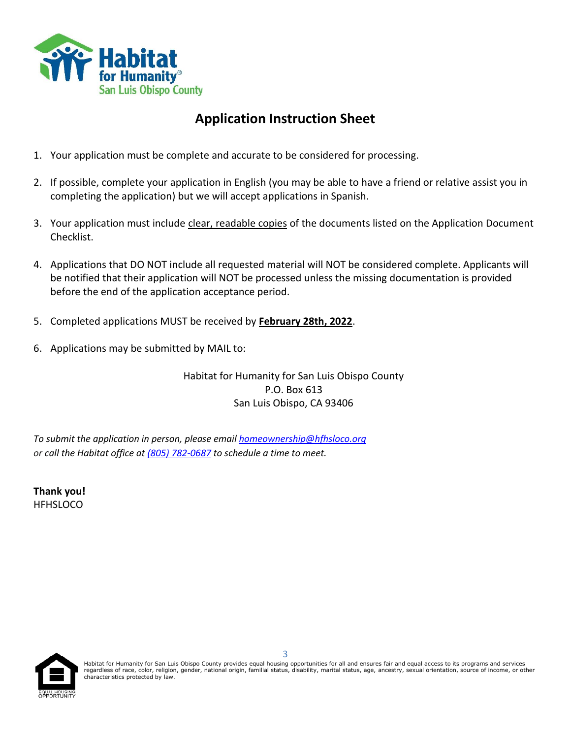

# **Application Instruction Sheet**

- 1. Your application must be complete and accurate to be considered for processing.
- 2. If possible, complete your application in English (you may be able to have a friend or relative assist you in completing the application) but we will accept applications in Spanish.
- 3. Your application must include clear, readable copies of the documents listed on the Application Document Checklist.
- 4. Applications that DO NOT include all requested material will NOT be considered complete. Applicants will be notified that their application will NOT be processed unless the missing documentation is provided before the end of the application acceptance period.
- 5. Completed applications MUST be received by **February 28th, 2022**.
- 6. Applications may be submitted by MAIL to:

Habitat for Humanity for San Luis Obispo County P.O. Box 613 San Luis Obispo, CA 93406

*To submit the application in person, please email [homeownership@hfhsloco.org](mailto:homeownership@hfhsloco.org) or call the Habitat office at [\(805\) 782-0687](tel:8057820687) to schedule a time to meet.* 

**Thank you! HFHSLOCO** 

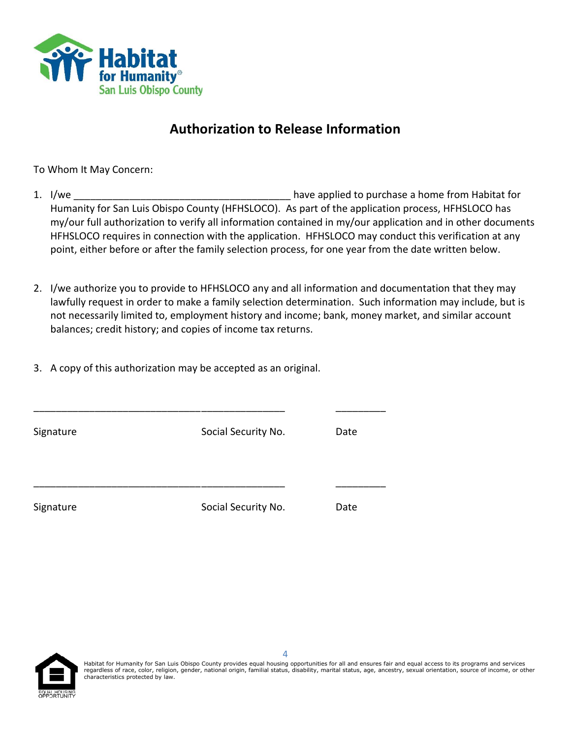

### **Authorization to Release Information**

To Whom It May Concern:

- 1. I/we \_\_\_\_\_\_\_\_\_\_\_\_\_\_\_\_\_\_\_\_\_\_\_\_\_\_\_\_\_\_\_\_\_\_\_\_\_\_\_ have applied to purchase a home from Habitat for Humanity for San Luis Obispo County (HFHSLOCO). As part of the application process, HFHSLOCO has my/our full authorization to verify all information contained in my/our application and in other documents HFHSLOCO requires in connection with the application. HFHSLOCO may conduct this verification at any point, either before or after the family selection process, for one year from the date written below.
- 2. I/we authorize you to provide to HFHSLOCO any and all information and documentation that they may lawfully request in order to make a family selection determination. Such information may include, but is not necessarily limited to, employment history and income; bank, money market, and similar account balances; credit history; and copies of income tax returns.
- 3. A copy of this authorization may be accepted as an original.

| Signature | Social Security No. | Date |
|-----------|---------------------|------|
|           |                     |      |
| Signature | Social Security No. | Date |

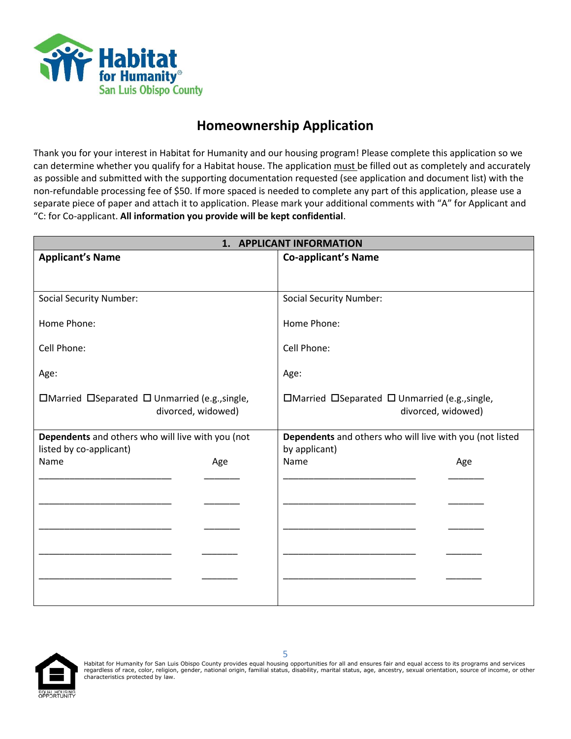

### **Homeownership Application**

Thank you for your interest in Habitat for Humanity and our housing program! Please complete this application so we can determine whether you qualify for a Habitat house. The application must be filled out as completely and accurately as possible and submitted with the supporting documentation requested (see application and document list) with the non-refundable processing fee of \$50. If more spaced is needed to complete any part of this application, please use a separate piece of paper and attach it to application. Please mark your additional comments with "A" for Applicant and "C: for Co-applicant. **All information you provide will be kept confidential**.

| 1. APPLICANT INFORMATION                          |     |                                                                 |     |
|---------------------------------------------------|-----|-----------------------------------------------------------------|-----|
| <b>Applicant's Name</b>                           |     | <b>Co-applicant's Name</b>                                      |     |
|                                                   |     |                                                                 |     |
|                                                   |     |                                                                 |     |
| <b>Social Security Number:</b>                    |     | <b>Social Security Number:</b>                                  |     |
| Home Phone:                                       |     | Home Phone:                                                     |     |
|                                                   |     |                                                                 |     |
| Cell Phone:                                       |     | Cell Phone:                                                     |     |
|                                                   |     |                                                                 |     |
| Age:                                              |     | Age:                                                            |     |
| □Married □Separated □ Unmarried (e.g., single,    |     | $\Box$ Married $\Box$ Separated $\Box$ Unmarried (e.g., single, |     |
| divorced, widowed)                                |     | divorced, widowed)                                              |     |
|                                                   |     |                                                                 |     |
| Dependents and others who will live with you (not |     | Dependents and others who will live with you (not listed        |     |
| listed by co-applicant)                           |     | by applicant)                                                   |     |
| Name                                              | Age | Name                                                            | Age |
|                                                   |     |                                                                 |     |
|                                                   |     |                                                                 |     |
|                                                   |     |                                                                 |     |
|                                                   |     |                                                                 |     |
|                                                   |     |                                                                 |     |
|                                                   |     |                                                                 |     |
|                                                   |     |                                                                 |     |
|                                                   |     |                                                                 |     |
|                                                   |     |                                                                 |     |

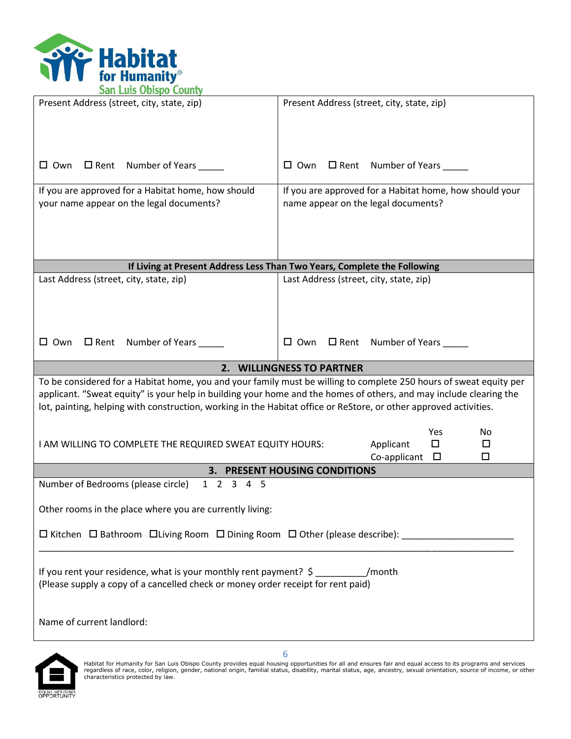

| Present Address (street, city, state, zip)                                                                                                                              | Present Address (street, city, state, zip)                                                                                                                                                                                               |  |  |  |
|-------------------------------------------------------------------------------------------------------------------------------------------------------------------------|------------------------------------------------------------------------------------------------------------------------------------------------------------------------------------------------------------------------------------------|--|--|--|
|                                                                                                                                                                         |                                                                                                                                                                                                                                          |  |  |  |
| $\square$ Rent Number of Years _____<br>$\Box$ Own                                                                                                                      | $\Box$ Own $\Box$ Rent Number of Years ____                                                                                                                                                                                              |  |  |  |
| If you are approved for a Habitat home, how should<br>your name appear on the legal documents?                                                                          | If you are approved for a Habitat home, how should your<br>name appear on the legal documents?                                                                                                                                           |  |  |  |
|                                                                                                                                                                         | If Living at Present Address Less Than Two Years, Complete the Following                                                                                                                                                                 |  |  |  |
| Last Address (street, city, state, zip)                                                                                                                                 | Last Address (street, city, state, zip)                                                                                                                                                                                                  |  |  |  |
|                                                                                                                                                                         |                                                                                                                                                                                                                                          |  |  |  |
| Number of Years<br>$\Box$ Rent<br>$\Box$ Own                                                                                                                            | $\Box$ Rent Number of Years<br>$\square$ Own                                                                                                                                                                                             |  |  |  |
|                                                                                                                                                                         | 2. WILLINGNESS TO PARTNER                                                                                                                                                                                                                |  |  |  |
| lot, painting, helping with construction, working in the Habitat office or ReStore, or other approved activities.                                                       | To be considered for a Habitat home, you and your family must be willing to complete 250 hours of sweat equity per<br>applicant. "Sweat equity" is your help in building your home and the homes of others, and may include clearing the |  |  |  |
| I AM WILLING TO COMPLETE THE REQUIRED SWEAT EQUITY HOURS:                                                                                                               | Yes<br>No<br>$\Box$<br>Applicant<br>□<br>Co-applicant<br>□<br>□                                                                                                                                                                          |  |  |  |
|                                                                                                                                                                         | 3. PRESENT HOUSING CONDITIONS                                                                                                                                                                                                            |  |  |  |
| Number of Bedrooms (please circle)<br>1 2 3 4 5                                                                                                                         |                                                                                                                                                                                                                                          |  |  |  |
| Other rooms in the place where you are currently living:                                                                                                                |                                                                                                                                                                                                                                          |  |  |  |
| □ Kitchen □ Bathroom □ Living Room □ Dining Room □ Other (please describe): _______________________                                                                     |                                                                                                                                                                                                                                          |  |  |  |
| If you rent your residence, what is your monthly rent payment? $\sin \theta$ /month<br>(Please supply a copy of a cancelled check or money order receipt for rent paid) |                                                                                                                                                                                                                                          |  |  |  |
| Name of current landlord:                                                                                                                                               |                                                                                                                                                                                                                                          |  |  |  |

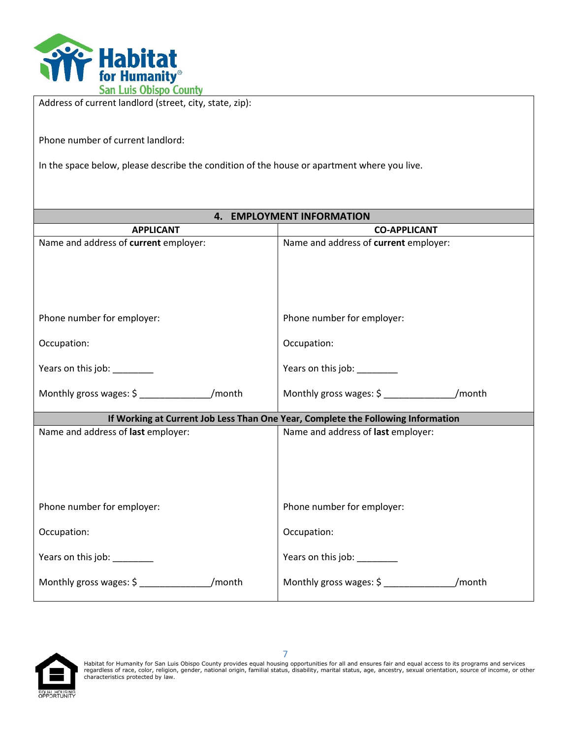

| Address of current landiord (street, city, state, zip):                                     |                                                                                                                        |  |  |  |
|---------------------------------------------------------------------------------------------|------------------------------------------------------------------------------------------------------------------------|--|--|--|
| Phone number of current landlord:                                                           |                                                                                                                        |  |  |  |
| In the space below, please describe the condition of the house or apartment where you live. |                                                                                                                        |  |  |  |
|                                                                                             |                                                                                                                        |  |  |  |
|                                                                                             | 4. EMPLOYMENT INFORMATION                                                                                              |  |  |  |
| <b>APPLICANT</b>                                                                            | <b>CO-APPLICANT</b>                                                                                                    |  |  |  |
| Name and address of current employer:                                                       | Name and address of current employer:                                                                                  |  |  |  |
|                                                                                             |                                                                                                                        |  |  |  |
|                                                                                             |                                                                                                                        |  |  |  |
|                                                                                             |                                                                                                                        |  |  |  |
|                                                                                             |                                                                                                                        |  |  |  |
| Phone number for employer:                                                                  | Phone number for employer:                                                                                             |  |  |  |
| Occupation:                                                                                 | Occupation:                                                                                                            |  |  |  |
|                                                                                             |                                                                                                                        |  |  |  |
| Years on this job: _______                                                                  | Years on this job: ________                                                                                            |  |  |  |
| Monthly gross wages: \$ _________________/month                                             | Monthly gross wages: \$ ________________/month                                                                         |  |  |  |
|                                                                                             |                                                                                                                        |  |  |  |
| Name and address of last employer:                                                          | If Working at Current Job Less Than One Year, Complete the Following Information<br>Name and address of last employer: |  |  |  |
|                                                                                             |                                                                                                                        |  |  |  |
|                                                                                             |                                                                                                                        |  |  |  |
|                                                                                             |                                                                                                                        |  |  |  |
|                                                                                             |                                                                                                                        |  |  |  |
| Phone number for employer:                                                                  | Phone number for employer:                                                                                             |  |  |  |
| Occupation:                                                                                 | Occupation:                                                                                                            |  |  |  |
|                                                                                             |                                                                                                                        |  |  |  |
| Years on this job: _______                                                                  | Years on this job:                                                                                                     |  |  |  |
|                                                                                             |                                                                                                                        |  |  |  |
|                                                                                             |                                                                                                                        |  |  |  |

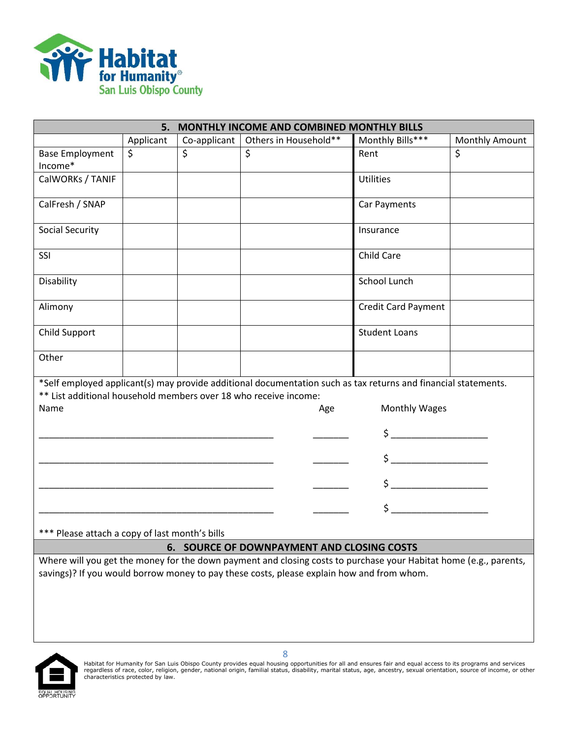

| MONTHLY INCOME AND COMBINED MONTHLY BILLS<br>5.                  |           |              |                                                                                                                   |                                                                                                                                                                                                                                                                                                                                                                            |                |
|------------------------------------------------------------------|-----------|--------------|-------------------------------------------------------------------------------------------------------------------|----------------------------------------------------------------------------------------------------------------------------------------------------------------------------------------------------------------------------------------------------------------------------------------------------------------------------------------------------------------------------|----------------|
|                                                                  | Applicant | Co-applicant | Others in Household**                                                                                             | Monthly Bills***                                                                                                                                                                                                                                                                                                                                                           | Monthly Amount |
| <b>Base Employment</b>                                           | \$        | \$           | \$                                                                                                                | Rent                                                                                                                                                                                                                                                                                                                                                                       | \$             |
| Income*                                                          |           |              |                                                                                                                   |                                                                                                                                                                                                                                                                                                                                                                            |                |
| CalWORKs / TANIF                                                 |           |              |                                                                                                                   | <b>Utilities</b>                                                                                                                                                                                                                                                                                                                                                           |                |
|                                                                  |           |              |                                                                                                                   |                                                                                                                                                                                                                                                                                                                                                                            |                |
| CalFresh / SNAP                                                  |           |              |                                                                                                                   | Car Payments                                                                                                                                                                                                                                                                                                                                                               |                |
| <b>Social Security</b>                                           |           |              |                                                                                                                   | Insurance                                                                                                                                                                                                                                                                                                                                                                  |                |
| SSI                                                              |           |              |                                                                                                                   | <b>Child Care</b>                                                                                                                                                                                                                                                                                                                                                          |                |
| Disability                                                       |           |              |                                                                                                                   | School Lunch                                                                                                                                                                                                                                                                                                                                                               |                |
| Alimony                                                          |           |              |                                                                                                                   | <b>Credit Card Payment</b>                                                                                                                                                                                                                                                                                                                                                 |                |
| Child Support                                                    |           |              |                                                                                                                   | <b>Student Loans</b>                                                                                                                                                                                                                                                                                                                                                       |                |
| Other                                                            |           |              |                                                                                                                   |                                                                                                                                                                                                                                                                                                                                                                            |                |
|                                                                  |           |              | *Self employed applicant(s) may provide additional documentation such as tax returns and financial statements.    |                                                                                                                                                                                                                                                                                                                                                                            |                |
| ** List additional household members over 18 who receive income: |           |              |                                                                                                                   |                                                                                                                                                                                                                                                                                                                                                                            |                |
| Name                                                             |           |              | Age                                                                                                               | Monthly Wages                                                                                                                                                                                                                                                                                                                                                              |                |
|                                                                  |           |              |                                                                                                                   | $\frac{1}{2}$                                                                                                                                                                                                                                                                                                                                                              |                |
|                                                                  |           |              |                                                                                                                   | $\mathsf{S} \hspace{0.03in} \underbrace{\hspace{0.03in} \hspace{0.03in} \hspace{0.03in} \hspace{0.03in} \hspace{0.03in} }_{\hspace{0.03in} \hspace{0.03in} \hspace{0.03in} \hspace{0.03in} \hspace{0.03in} \hspace{0.03in} } \hspace{0.03in} \hspace{0.03in} \hspace{0.03in} \hspace{0.03in} \hspace{0.03in} \hspace{0.03in} \hspace{0.03in} \hspace{0.03in} \hspace{0.03$ |                |
|                                                                  |           |              |                                                                                                                   |                                                                                                                                                                                                                                                                                                                                                                            |                |
|                                                                  |           |              |                                                                                                                   |                                                                                                                                                                                                                                                                                                                                                                            |                |
| *** Please attach a copy of last month's bills                   |           |              |                                                                                                                   |                                                                                                                                                                                                                                                                                                                                                                            |                |
| <b>6. SOURCE OF DOWNPAYMENT AND CLOSING COSTS</b>                |           |              |                                                                                                                   |                                                                                                                                                                                                                                                                                                                                                                            |                |
|                                                                  |           |              | Where will you get the money for the down payment and closing costs to purchase your Habitat home (e.g., parents, |                                                                                                                                                                                                                                                                                                                                                                            |                |
|                                                                  |           |              | savings)? If you would borrow money to pay these costs, please explain how and from whom.                         |                                                                                                                                                                                                                                                                                                                                                                            |                |
|                                                                  |           |              |                                                                                                                   |                                                                                                                                                                                                                                                                                                                                                                            |                |
|                                                                  |           |              |                                                                                                                   |                                                                                                                                                                                                                                                                                                                                                                            |                |
|                                                                  |           |              |                                                                                                                   |                                                                                                                                                                                                                                                                                                                                                                            |                |
|                                                                  |           |              |                                                                                                                   |                                                                                                                                                                                                                                                                                                                                                                            |                |

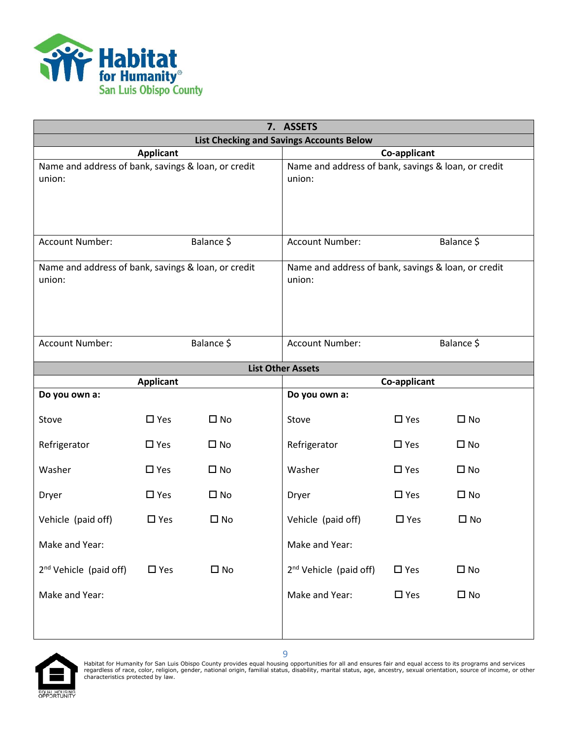

| 7. ASSETS                                                     |                          |                                                               |                                      |               |              |
|---------------------------------------------------------------|--------------------------|---------------------------------------------------------------|--------------------------------------|---------------|--------------|
| <b>List Checking and Savings Accounts Below</b>               |                          |                                                               |                                      |               |              |
|                                                               | <b>Applicant</b>         |                                                               | Co-applicant                         |               |              |
| Name and address of bank, savings & loan, or credit<br>union: |                          | Name and address of bank, savings & loan, or credit<br>union: |                                      |               |              |
| <b>Account Number:</b>                                        |                          | Balance \$                                                    | Balance \$<br><b>Account Number:</b> |               |              |
| Name and address of bank, savings & loan, or credit<br>union: |                          | Name and address of bank, savings & loan, or credit<br>union: |                                      |               |              |
| Account Number:                                               |                          | Balance \$                                                    | Account Number:                      |               | Balance \$   |
|                                                               | <b>List Other Assets</b> |                                                               |                                      |               |              |
|                                                               | <b>Applicant</b>         |                                                               |                                      | Co-applicant  |              |
| Do you own a:                                                 |                          |                                                               | Do you own a:                        |               |              |
| Stove                                                         | $\square$ Yes            | $\square$ No                                                  | Stove                                | $\square$ Yes | $\square$ No |
| Refrigerator                                                  | $\square$ Yes            | $\square$ No                                                  | Refrigerator                         | $\square$ Yes | $\square$ No |
| Washer                                                        | $\square$ Yes            | $\square$ No                                                  | Washer                               | $\square$ Yes | $\square$ No |
| Dryer                                                         | $\square$ Yes            | $\square$ No                                                  | Dryer                                | $\square$ Yes | $\square$ No |
| Vehicle (paid off)                                            | $\Box$ Yes               | $\Box$ No                                                     | Vehicle (paid off)                   | $\Box$ Yes    | $\square$ No |
| Make and Year:                                                |                          |                                                               | Make and Year:                       |               |              |
| 2 <sup>nd</sup> Vehicle (paid off)                            | $\square$ Yes            | $\square$ No                                                  | $2nd$ Vehicle (paid off)             | $\square$ Yes | $\square$ No |
| Make and Year:                                                |                          |                                                               | Make and Year:                       | $\square$ Yes | $\square$ No |

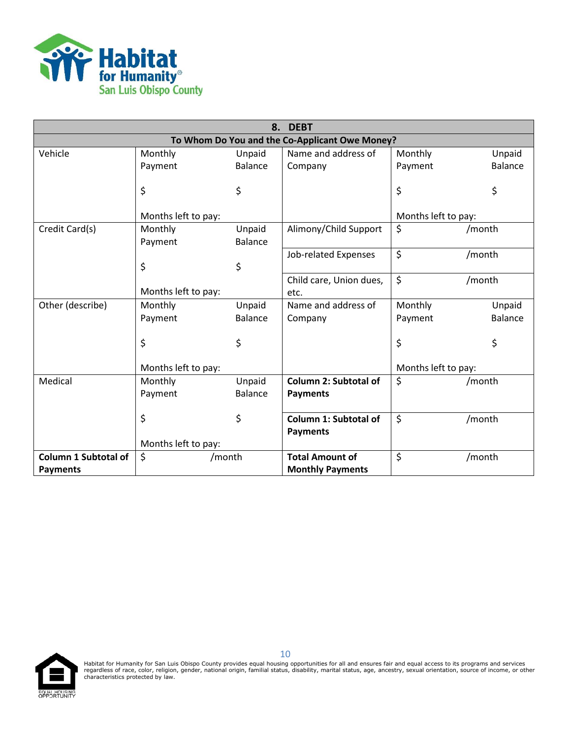

|                             | 8.<br><b>DEBT</b>   |                |                                                |                     |                |
|-----------------------------|---------------------|----------------|------------------------------------------------|---------------------|----------------|
|                             |                     |                | To Whom Do You and the Co-Applicant Owe Money? |                     |                |
| Vehicle                     | Monthly             | Unpaid         | Name and address of                            | Monthly             | Unpaid         |
|                             | Payment             | <b>Balance</b> | Company                                        | Payment             | <b>Balance</b> |
|                             |                     |                |                                                |                     |                |
|                             | \$                  | \$             |                                                | \$                  | \$             |
|                             | Months left to pay: |                |                                                | Months left to pay: |                |
| Credit Card(s)              | Monthly             | Unpaid         | Alimony/Child Support                          | \$                  | /month         |
|                             | Payment             | <b>Balance</b> |                                                |                     |                |
|                             |                     |                | Job-related Expenses                           | \$                  | /month         |
|                             | \$                  | \$             |                                                |                     |                |
|                             |                     |                | Child care, Union dues,                        | \$                  | /month         |
|                             | Months left to pay: |                | etc.                                           |                     |                |
| Other (describe)            | Monthly             | Unpaid         | Name and address of                            | Monthly             | Unpaid         |
|                             | Payment             | <b>Balance</b> | Company                                        | Payment             | <b>Balance</b> |
|                             |                     |                |                                                |                     |                |
|                             | \$                  | \$             |                                                | \$                  | \$             |
|                             |                     |                |                                                |                     |                |
|                             | Months left to pay: |                |                                                | Months left to pay: |                |
| Medical                     | Monthly             | Unpaid         | <b>Column 2: Subtotal of</b>                   | \$                  | /month         |
|                             | Payment             | <b>Balance</b> | <b>Payments</b>                                |                     |                |
|                             |                     |                |                                                |                     |                |
|                             | \$                  | \$             | Column 1: Subtotal of                          | $\zeta$             | /month         |
|                             |                     |                | <b>Payments</b>                                |                     |                |
|                             | Months left to pay: |                |                                                |                     |                |
| <b>Column 1 Subtotal of</b> | \$<br>/month        |                | <b>Total Amount of</b>                         | $\zeta$             | /month         |
| <b>Payments</b>             |                     |                | <b>Monthly Payments</b>                        |                     |                |



Habitat for Humanity for San Luis Obispo County provides equal housing opportunities for all and ensures fair and equal access to its programs and services<br>regardless of race, color, religion, gender, national origin, fami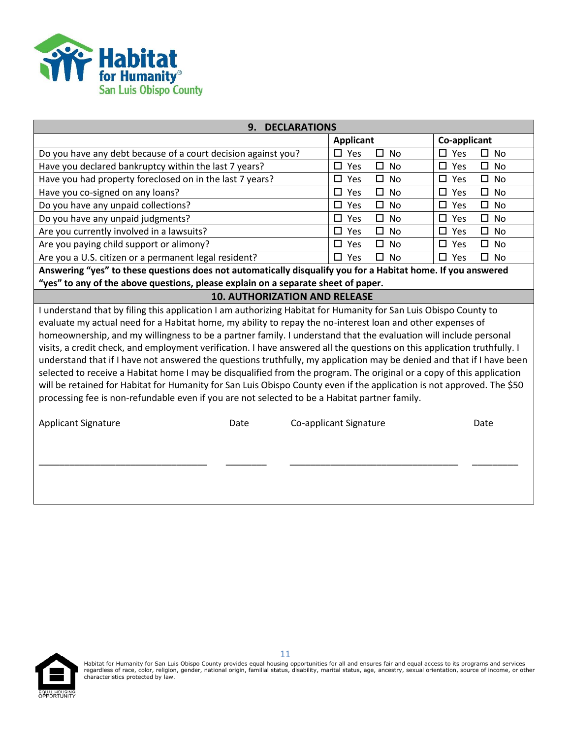

| 9.<br><b>DECLARATIONS</b>                                                                                                |                                      |                                      |                                   |  |  |
|--------------------------------------------------------------------------------------------------------------------------|--------------------------------------|--------------------------------------|-----------------------------------|--|--|
|                                                                                                                          |                                      | <b>Applicant</b>                     | Co-applicant                      |  |  |
| Do you have any debt because of a court decision against you?                                                            |                                      | $\Box$ Yes<br>$\square$ No           | $\Box$ Yes<br>$\Box$ No           |  |  |
| Have you declared bankruptcy within the last 7 years?                                                                    |                                      | $\square$ Yes<br>$\square$ No        | $\square$ Yes<br>$\square$ No     |  |  |
| Have you had property foreclosed on in the last 7 years?                                                                 |                                      | $\square$ Yes<br>$\square$ No        | $\square$ Yes<br>$\square$ No     |  |  |
| Have you co-signed on any loans?                                                                                         |                                      | $\square$ Yes<br>$\Box$ No           | $\square$ Yes<br>$\square$ No     |  |  |
| Do you have any unpaid collections?                                                                                      |                                      | $\square$ Yes<br>$\Box$<br><b>No</b> | $\Box$<br>$\square$ Yes<br>No     |  |  |
| Do you have any unpaid judgments?                                                                                        |                                      | $\square$ Yes<br>$\Box$<br>No        | $\square$ No<br>$\Box$ Yes        |  |  |
| Are you currently involved in a lawsuits?                                                                                |                                      | $\square$ Yes<br>$\square$ No        | $\Box$<br>$\Box$ Yes<br><b>No</b> |  |  |
| Are you paying child support or alimony?                                                                                 |                                      | $\square$ Yes<br>$\Box$ No           | $\square$ Yes<br>$\square$ No     |  |  |
| Are you a U.S. citizen or a permanent legal resident?                                                                    |                                      | $\square$ Yes<br>$\Box$ No           | $\Box$ Yes<br>$\Box$ No           |  |  |
| Answering "yes" to these questions does not automatically disqualify you for a Habitat home. If you answered             |                                      |                                      |                                   |  |  |
| "yes" to any of the above questions, please explain on a separate sheet of paper.                                        |                                      |                                      |                                   |  |  |
|                                                                                                                          | <b>10. AUTHORIZATION AND RELEASE</b> |                                      |                                   |  |  |
| I understand that by filing this application I am authorizing Habitat for Humanity for San Luis Obispo County to         |                                      |                                      |                                   |  |  |
| evaluate my actual need for a Habitat home, my ability to repay the no-interest loan and other expenses of               |                                      |                                      |                                   |  |  |
| homeownership, and my willingness to be a partner family. I understand that the evaluation will include personal         |                                      |                                      |                                   |  |  |
| visits, a credit check, and employment verification. I have answered all the questions on this application truthfully. I |                                      |                                      |                                   |  |  |
| understand that if I have not answered the questions truthfully, my application may be denied and that if I have been    |                                      |                                      |                                   |  |  |
| selected to receive a Habitat home I may be disqualified from the program. The original or a copy of this application    |                                      |                                      |                                   |  |  |
| will be retained for Habitat for Humanity for San Luis Obispo County even if the application is not approved. The \$50   |                                      |                                      |                                   |  |  |
| processing fee is non-refundable even if you are not selected to be a Habitat partner family.                            |                                      |                                      |                                   |  |  |
|                                                                                                                          |                                      |                                      |                                   |  |  |
| <b>Applicant Signature</b>                                                                                               | Date                                 | Co-applicant Signature               | Date                              |  |  |
|                                                                                                                          |                                      |                                      |                                   |  |  |
|                                                                                                                          |                                      |                                      |                                   |  |  |
|                                                                                                                          |                                      |                                      |                                   |  |  |
|                                                                                                                          |                                      |                                      |                                   |  |  |
|                                                                                                                          |                                      |                                      |                                   |  |  |

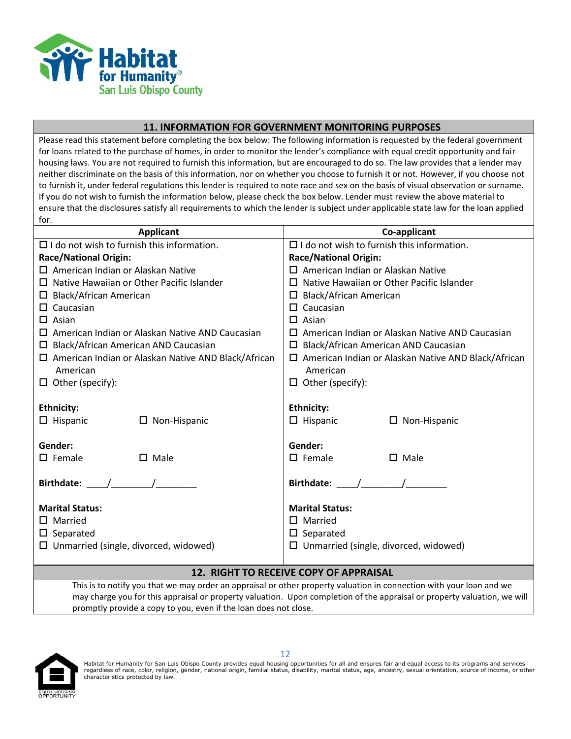

#### **11. INFORMATION FOR GOVERNMENT MONITORING PURPOSES**

Please read this statement before completing the box below: The following information is requested by the federal government for loans related to the purchase of homes, in order to monitor the lender's compliance with equal credit opportunity and fair housing laws. You are not required to furnish this information, but are encouraged to do so. The law provides that a lender may neither discriminate on the basis of this information, nor on whether you choose to furnish it or not. However, if you choose not to furnish it, under federal regulations this lender is required to note race and sex on the basis of visual observation or surname. If you do not wish to furnish the information below, please check the box below. Lender must review the above material to ensure that the disclosures satisfy all requirements to which the lender is subject under applicable state law for the loan applied for.

| <b>Applicant</b>                                                       | Co-applicant                                                           |  |  |  |
|------------------------------------------------------------------------|------------------------------------------------------------------------|--|--|--|
| $\Box$ I do not wish to furnish this information.                      | $\Box$ I do not wish to furnish this information.                      |  |  |  |
| <b>Race/National Origin:</b>                                           | <b>Race/National Origin:</b>                                           |  |  |  |
| $\Box$ American Indian or Alaskan Native                               | $\Box$ American Indian or Alaskan Native                               |  |  |  |
| $\Box$ Native Hawaiian or Other Pacific Islander                       | $\Box$ Native Hawaiian or Other Pacific Islander                       |  |  |  |
| $\Box$ Black/African American                                          | <b>Black/African American</b><br>□                                     |  |  |  |
| $\Box$ Caucasian                                                       | $\Box$ Caucasian                                                       |  |  |  |
| $\Box$ Asian                                                           | $\Box$ Asian                                                           |  |  |  |
| $\Box$ American Indian or Alaskan Native AND Caucasian                 | American Indian or Alaskan Native AND Caucasian<br>LΙ                  |  |  |  |
| $\square$ Black/African American AND Caucasian                         | $\square$ Black/African American AND Caucasian                         |  |  |  |
| $\Box$ American Indian or Alaskan Native AND Black/African<br>American | $\Box$ American Indian or Alaskan Native AND Black/African<br>American |  |  |  |
| $\Box$ Other (specify):                                                | $\Box$ Other (specify):                                                |  |  |  |
|                                                                        |                                                                        |  |  |  |
| <b>Ethnicity:</b>                                                      | <b>Ethnicity:</b>                                                      |  |  |  |
| $\Box$ Hispanic<br>$\Box$ Non-Hispanic                                 | $\Box$ Hispanic<br>$\Box$ Non-Hispanic                                 |  |  |  |
|                                                                        |                                                                        |  |  |  |
| Gender:                                                                | Gender:                                                                |  |  |  |
| $\square$ Female<br>$\Box$ Male                                        | $\Box$ Female<br>$\Box$ Male                                           |  |  |  |
| Birthdate: $\angle$                                                    | Birthdate: $\angle$ /                                                  |  |  |  |
|                                                                        |                                                                        |  |  |  |
| <b>Marital Status:</b>                                                 | <b>Marital Status:</b>                                                 |  |  |  |
| $\square$ Married                                                      | $\square$ Married                                                      |  |  |  |
| $\square$ Separated                                                    | $\square$ Separated                                                    |  |  |  |
| $\Box$ Unmarried (single, divorced, widowed)                           | $\Box$ Unmarried (single, divorced, widowed)                           |  |  |  |
|                                                                        |                                                                        |  |  |  |
| 12. RIGHT TO RECEIVE COPY OF APPRAISAL                                 |                                                                        |  |  |  |

This is to notify you that we may order an appraisal or other property valuation in connection with your loan and we may charge you for this appraisal or property valuation. Upon completion of the appraisal or property valuation, we will promptly provide a copy to you, even if the loan does not close.